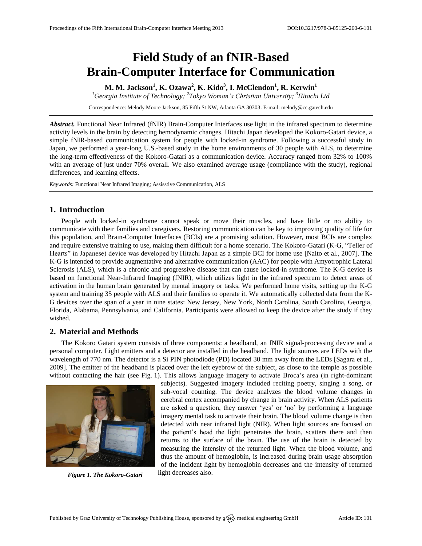# **Field Study of an fNIR-Based Brain-Computer Interface for Communication**

**M. M. Jackson<sup>1</sup> , K. Ozawa<sup>2</sup> , K. Kido<sup>3</sup> , I. McClendon<sup>1</sup> , R. Kerwin<sup>1</sup>**

*<sup>1</sup>Georgia Institute of Technology; 2 Tokyo Woman's Christian University; <sup>3</sup>Hitachi Ltd*

Correspondence: Melody Moore Jackson, 85 Fifth St NW, Atlanta GA 30303. E-mail[: melody@cc.gatech.edu](mailto:melody@cc.gatech.edu)

*Abstract.* Functional Near Infrared (fNIR) Brain-Computer Interfaces use light in the infrared spectrum to determine activity levels in the brain by detecting hemodynamic changes. Hitachi Japan developed the Kokoro-Gatari device, a simple fNIR-based communication system for people with locked-in syndrome. Following a successful study in Japan, we performed a year-long U.S.-based study in the home environments of 30 people with ALS, to determine the long-term effectiveness of the Kokoro-Gatari as a communication device. Accuracy ranged from 32% to 100% with an average of just under 70% overall. We also examined average usage (compliance with the study), regional differences, and learning effects.

*Keywords:* Functional Near Infrared Imaging; Assisstive Communication, ALS

## **1. Introduction**

People with locked-in syndrome cannot speak or move their muscles, and have little or no ability to communicate with their families and caregivers. Restoring communication can be key to improving quality of life for this population, and Brain-Computer Interfaces (BCIs) are a promising solution. However, most BCIs are complex and require extensive training to use, making them difficult for a home scenario. The Kokoro-Gatari (K-G, "Teller of Hearts" in Japanese) device was developed by Hitachi Japan as a simple BCI for home use [Naito et al., 2007]. The K-G is intended to provide augmentative and alternative communication (AAC) for people with Amyotrophic Lateral Sclerosis (ALS), which is a chronic and progressive disease that can cause locked-in syndrome. The K-G device is based on functional Near-Infrared Imaging (fNIR), which utilizes light in the infrared spectrum to detect areas of activation in the human brain generated by mental imagery or tasks. We performed home visits, setting up the K-G system and training 35 people with ALS and their families to operate it. We automatically collected data from the K-G devices over the span of a year in nine states: New Jersey, New York, North Carolina, South Carolina, Georgia, Florida, Alabama, Pennsylvania, and California. Participants were allowed to keep the device after the study if they wished.

#### **2. Material and Methods**

The Kokoro Gatari system consists of three components: a headband, an fNIR signal-processing device and a personal computer. Light emitters and a detector are installed in the headband. The light sources are LEDs with the wavelength of 770 nm. The detector is a Si PIN photodiode (PD) located 30 mm away from the LEDs [Sagara et al., 2009]. The emitter of the headband is placed over the left eyebrow of the subject, as close to the temple as possible without contacting the hair (see Fig. 1). This allows language imagery to activate Broca's area (in right-dominant



*Figure 1. The Kokoro-Gatari* light decreases also.

subjects). Suggested imagery included reciting poetry, singing a song, or sub-vocal counting. The device analyzes the blood volume changes in cerebral cortex accompanied by change in brain activity. When ALS patients are asked a question, they answer 'yes' or 'no' by performing a language imagery mental task to activate their brain. The blood volume change is then detected with near infrared light (NIR). When light sources are focused on the patient's head the light penetrates the brain, scatters there and then returns to the surface of the brain. The use of the brain is detected by measuring the intensity of the returned light. When the blood volume, and thus the amount of hemoglobin, is increased during brain usage absorption of the incident light by hemoglobin decreases and the intensity of returned